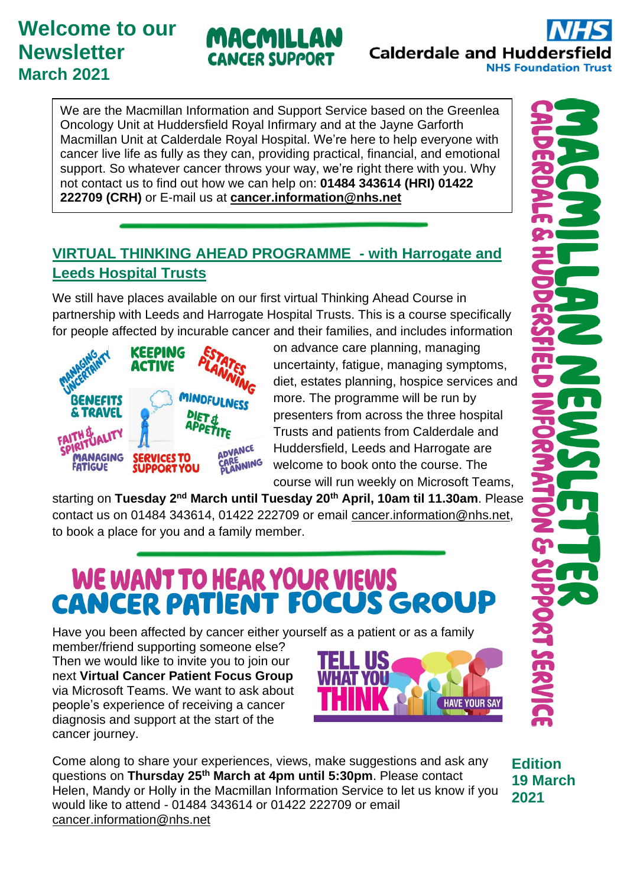# **Welcome to our Newsletter March 2021**

# MACMILLAN **CANCER SUPPORT**

**Calderdale and Huddersfield NHS Foundation Trust** 

We are the Macmillan Information and Support Service based on the Greenlea Oncology Unit at Huddersfield Royal Infirmary and at the Jayne Garforth Macmillan Unit at Calderdale Royal Hospital. We're here to help everyone with cancer live life as fully as they can, providing practical, financial, and emotional support. So whatever cancer throws your way, we're right there with you. Why not contact us to find out how we can help on: **01484 343614 (HRI) 01422 222709 (CRH)** or E-mail us at **[cancer.information@nhs.net](mailto:cancer.information@nhs.net)**

## **VIRTUAL THINKING AHEAD PROGRAMME - with Harrogate and Leeds Hospital Trusts**

We still have places available on our first virtual Thinking Ahead Course in partnership with Leeds and Harrogate Hospital Trusts. This is a course specifically for people affected by incurable cancer and their families, and includes information



on advance care planning, managing uncertainty, fatigue, managing symptoms, diet, estates planning, hospice services and more. The programme will be run by presenters from across the three hospital Trusts and patients from Calderdale and Huddersfield, Leeds and Harrogate are welcome to book onto the course. The course will run weekly on Microsoft Teams,

starting on **Tuesday 2nd March until Tuesday 20th April, 10am til 11.30am**. Please contact us on 01484 343614, 01422 222709 or email [cancer.information@nhs.net,](mailto:cancer.information@nhs.net) to book a place for you and a family member.

# WE WANT TO HEAR YOUR VIEWS<br>CANCER PATIENT FOCUS GROUP

Have you been affected by cancer either yourself as a patient or as a family

member/friend supporting someone else? Then we would like to invite you to join our next **Virtual Cancer Patient Focus Group** via Microsoft Teams. We want to ask about people's experience of receiving a cancer diagnosis and support at the start of the cancer journey.



Come along to share your experiences, views, make suggestions and ask any questions on **Thursday 25th March at 4pm until 5:30pm**. Please contact Helen, Mandy or Holly in the Macmillan Information Service to let us know if you would like to attend - 01484 343614 or 01422 222709 or email [cancer.information@nhs.net](mailto:cancer.information@n#hs.net)

**Edition 19 March 2021**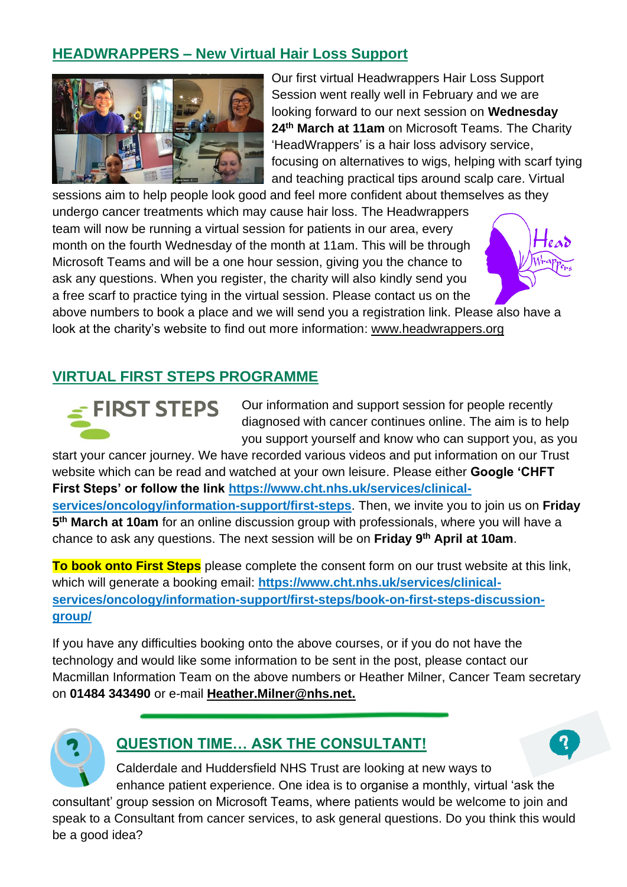## **HEADWRAPPERS – New Virtual Hair Loss Support**



Our first virtual Headwrappers Hair Loss Support Session went really well in February and we are looking forward to our next session on **Wednesday 24th March at 11am** on Microsoft Teams. The Charity 'HeadWrappers' is a hair loss advisory service, focusing on alternatives to wigs, helping with scarf tying and teaching practical tips around scalp care. Virtual

sessions aim to help people look good and feel more confident about themselves as they undergo cancer treatments which may cause hair loss. The Headwrappers team will now be running a virtual session for patients in our area, every month on the fourth Wednesday of the month at 11am. This will be through Microsoft Teams and will be a one hour session, giving you the chance to ask any questions. When you register, the charity will also kindly send you a free scarf to practice tying in the virtual session. Please contact us on the above numbers to book a place and we will send you a registration link. Please also have a

look at the charity's website to find out more information: www.headwrappers.org

#### **VIRTUAL FIRST STEPS PROGRAMME**



Our information and support session for people recently diagnosed with cancer continues online. The aim is to help you support yourself and know who can support you, as you

start your cancer journey. We have recorded various videos and put information on our Trust website which can be read and watched at your own leisure. Please either **Google 'CHFT First Steps' or follow the link [https://www.cht.nhs.uk/services/clinical](https://www.cht.nhs.uk/services/clinical-services/oncology/information-support/first-steps)[services/oncology/information-support/first-steps](https://www.cht.nhs.uk/services/clinical-services/oncology/information-support/first-steps)**. Then, we invite you to join us on **Friday 5 th March at 10am** for an online discussion group with professionals, where you will have a chance to ask any questions. The next session will be on **Friday 9 th April at 10am**.

**To book onto First Steps** please complete the consent form on our trust website at this link, which will generate a booking email: **https://www.cht.nhs.uk/services/clinicalservices/oncology/information-support/first-steps/book-on-first-steps-discussiongroup/** 

If you have any difficulties booking onto the above courses, or if you do not have the technology and would like some information to be sent in the post, please contact our Macmillan Information Team on the above numbers or Heather Milner, Cancer Team secretary on **01484 343490** or e-mail **[Heather.Milner@nhs.net.](mailto:Heather.Milner@nhs.net)**



#### **QUESTION TIME… ASK THE CONSULTANT!**



Calderdale and Huddersfield NHS Trust are looking at new ways to enhance patient experience. One idea is to organise a monthly, virtual 'ask the

consultant' group session on Microsoft Teams, where patients would be welcome to join and speak to a Consultant from cancer services, to ask general questions. Do you think this would be a good idea?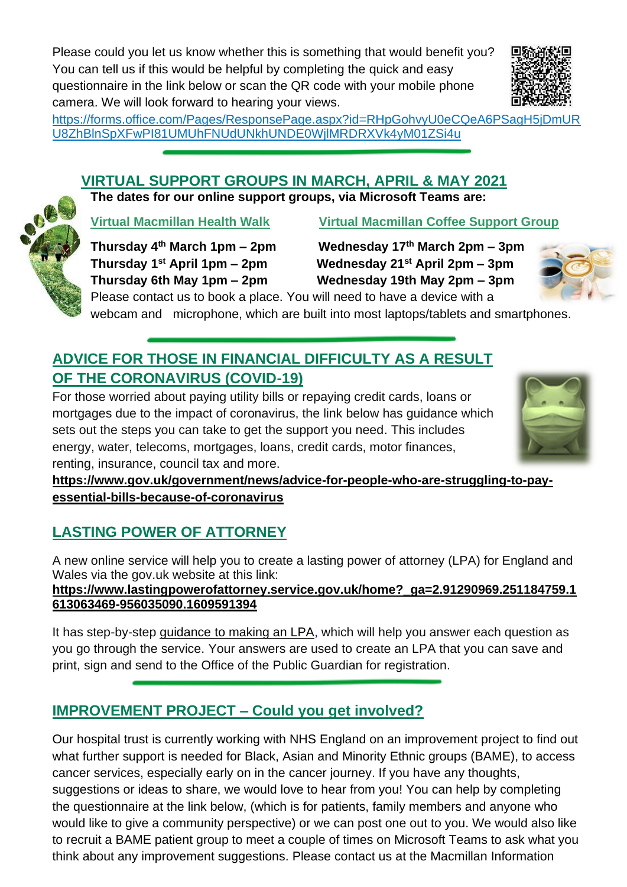Please could you let us know whether this is something that would benefit you? You can tell us if this would be helpful by completing the quick and easy questionnaire in the link below or scan the QR code with your mobile phone camera. We will look forward to hearing your views.



[https://forms.office.com/Pages/ResponsePage.aspx?id=RHpGohvyU0eCQeA6PSagH5jDmUR](https://forms.office.com/Pages/ResponsePage.aspx?id=RHpGohvyU0eCQeA6PSagH5jDmURU8ZhBlnSpXFwPI81UMUhFNUdUNkhUNDE0WjlMRDRXVk4yM01ZSi4u) [U8ZhBlnSpXFwPI81UMUhFNUdUNkhUNDE0WjlMRDRXVk4yM01ZSi4u](https://forms.office.com/Pages/ResponsePage.aspx?id=RHpGohvyU0eCQeA6PSagH5jDmURU8ZhBlnSpXFwPI81UMUhFNUdUNkhUNDE0WjlMRDRXVk4yM01ZSi4u)

#### **VIRTUAL SUPPORT GROUPS IN MARCH, APRIL & MAY 2021**

**The dates for our online support groups, via Microsoft Teams are:**

**Virtual Macmillan Health Walk Virtual Macmillan Coffee Support Group** 

**Thursday 1**

**Thursday 4th March 1pm – 2pm Wednesday 17th March 2pm – 3pm st April 1pm – 2pm Wednesday 21st April 2pm – 3pm Thursday 6th May 1pm – 2pm Wednesday 19th May 2pm – 3pm**



Please contact us to book a place. You will need to have a device with a webcam and microphone, which are built into most laptops/tablets and smartphones.

## **ADVICE FOR THOSE IN FINANCIAL DIFFICULTY AS A RESULT OF THE CORONAVIRUS (COVID-19)**

For those worried about paying utility bills or repaying credit cards, loans or mortgages due to the impact of coronavirus, the link below has guidance which sets out the steps you can take to get the support you need. This includes energy, water, telecoms, mortgages, loans, credit cards, motor finances, renting, insurance, council tax and more.



**[https://www.gov.uk/government/news/advice-for-people-who-are-struggling-to-pay](https://www.gov.uk/government/news/advice-for-people-who-are-struggling-to-pay-essential-bills-because-of-coronavirus)[essential-bills-because-of-coronavirus](https://www.gov.uk/government/news/advice-for-people-who-are-struggling-to-pay-essential-bills-because-of-coronavirus)**

## **LASTING POWER OF ATTORNEY**

A new online service will help you to create a lasting power of attorney (LPA) for England and Wales via the gov.uk website at this link:

**[https://www.lastingpowerofattorney.service.gov.uk/home?\\_ga=2.91290969.251184759.1](https://www.lastingpowerofattorney.service.gov.uk/home?_ga=2.91290969.251184759.1613063469-956035090.1609591394) [613063469-956035090.1609591394](https://www.lastingpowerofattorney.service.gov.uk/home?_ga=2.91290969.251184759.1613063469-956035090.1609591394)**

It has step-by-step [guidance](https://www.lastingpowerofattorney.service.gov.uk/guide#topic-what-is-an-lpa) to making an LPA, which will help you answer each question as you go through the service. Your answers are used to create an LPA that you can save and print, sign and send to the Office of the Public Guardian for registration.

## **IMPROVEMENT PROJECT – Could you get involved?**

Our hospital trust is currently working with NHS England on an improvement project to find out what further support is needed for Black, Asian and Minority Ethnic groups (BAME), to access cancer services, especially early on in the cancer journey. If you have any thoughts, suggestions or ideas to share, we would love to hear from you! You can help by completing the questionnaire at the link below, (which is for patients, family members and anyone who would like to give a community perspective) or we can post one out to you. We would also like to recruit a BAME patient group to meet a couple of times on Microsoft Teams to ask what you think about any improvement suggestions. Please contact us at the Macmillan Information